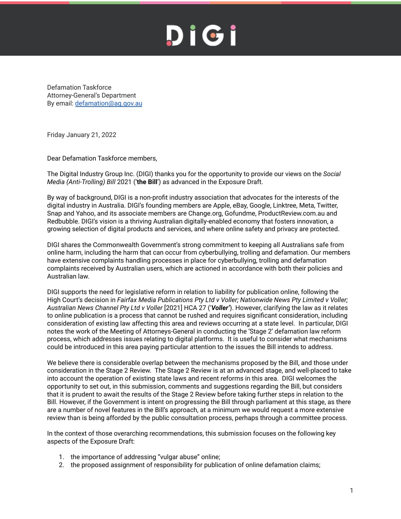Defamation Taskforce Attorney-General's Department By email: [defamation@ag.gov.au](mailto:defamation@ag.gov.au)

Friday January 21, 2022

Dear Defamation Taskforce members,

The Digital Industry Group Inc. (DIGI) thanks you for the opportunity to provide our views on the *Social Media (Anti-Trolling) Bill* 2021 ('**the Bill**') as advanced in the Exposure Draft.

By way of background, DIGI is a non-profit industry association that advocates for the interests of the digital industry in Australia. DIGI's founding members are Apple, eBay, Google, Linktree, Meta, Twitter, Snap and Yahoo, and its associate members are Change.org, Gofundme, ProductReview.com.au and Redbubble. DIGI's vision is a thriving Australian digitally-enabled economy that fosters innovation, a growing selection of digital products and services, and where online safety and privacy are protected.

DIGI shares the Commonwealth Government's strong commitment to keeping all Australians safe from online harm, including the harm that can occur from cyberbullying, trolling and defamation. Our members have extensive complaints handling processes in place for cyberbullying, trolling and defamation complaints received by Australian users, which are actioned in accordance with both their policies and Australian law.

DIGI supports the need for legislative reform in relation to liability for publication online, following the High Court's decision in *Fairfax Media Publications Pty Ltd v Voller; Nationwide News Pty Limited v Voller; Australian News Channel Pty Ltd v Voller* [2021] HCA 27 ('*Voller'*). However, clarifying the law as it relates to online publication is a process that cannot be rushed and requires significant consideration, including consideration of existing law affecting this area and reviews occurring at a state level. In particular, DIGI notes the work of the Meeting of Attorneys-General in conducting the 'Stage 2' defamation law reform process, which addresses issues relating to digital platforms. It is useful to consider what mechanisms could be introduced in this area paying particular attention to the issues the Bill intends to address.

We believe there is considerable overlap between the mechanisms proposed by the Bill, and those under consideration in the Stage 2 Review. The Stage 2 Review is at an advanced stage, and well-placed to take into account the operation of existing state laws and recent reforms in this area. DIGI welcomes the opportunity to set out, in this submission, comments and suggestions regarding the Bill, but considers that it is prudent to await the results of the Stage 2 Review before taking further steps in relation to the Bill. However, if the Government is intent on progressing the Bill through parliament at this stage, as there are a number of novel features in the Bill's approach, at a minimum we would request a more extensive review than is being afforded by the public consultation process, perhaps through a committee process.

In the context of those overarching recommendations, this submission focuses on the following key aspects of the Exposure Draft:

- 1. the importance of addressing "vulgar abuse" online;
- 2. the proposed assignment of responsibility for publication of online defamation claims;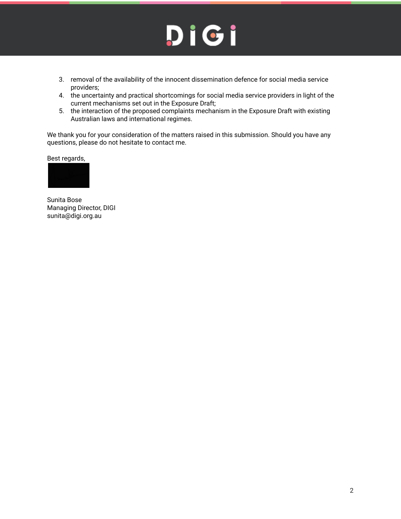- 3. removal of the availability of the innocent dissemination defence for social media service providers;
- 4. the uncertainty and practical shortcomings for social media service providers in light of the current mechanisms set out in the Exposure Draft;
- 5. the interaction of the proposed complaints mechanism in the Exposure Draft with existing Australian laws and international regimes.

We thank you for your consideration of the matters raised in this submission. Should you have any questions, please do not hesitate to contact me.

Best regards,



Sunita Bose Managing Director, DIGI sunita@digi.org.au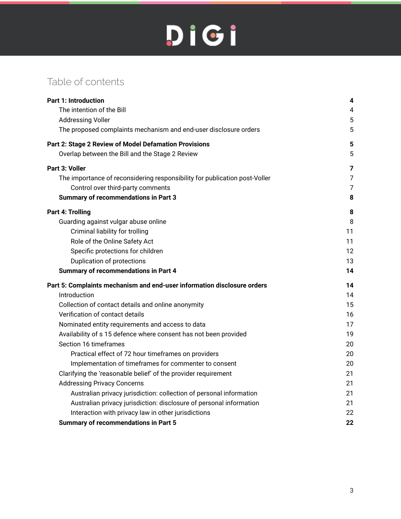## Table of contents

| <b>Part 1: Introduction</b>                                                | 4              |
|----------------------------------------------------------------------------|----------------|
| The intention of the Bill                                                  | $\overline{4}$ |
| <b>Addressing Voller</b>                                                   | 5              |
| The proposed complaints mechanism and end-user disclosure orders           | 5              |
| Part 2: Stage 2 Review of Model Defamation Provisions                      | 5              |
| Overlap between the Bill and the Stage 2 Review                            | 5              |
| Part 3: Voller                                                             | $\overline{7}$ |
| The importance of reconsidering responsibility for publication post-Voller | $\overline{7}$ |
| Control over third-party comments                                          | $\overline{7}$ |
| <b>Summary of recommendations in Part 3</b>                                | 8              |
| Part 4: Trolling                                                           | 8              |
| Guarding against vulgar abuse online                                       | 8              |
| Criminal liability for trolling                                            | 11             |
| Role of the Online Safety Act                                              | 11             |
| Specific protections for children                                          | 12             |
| Duplication of protections                                                 | 13             |
| <b>Summary of recommendations in Part 4</b>                                | 14             |
| Part 5: Complaints mechanism and end-user information disclosure orders    | 14             |
| Introduction                                                               | 14             |
| Collection of contact details and online anonymity                         | 15             |
| Verification of contact details                                            | 16             |
| Nominated entity requirements and access to data                           | 17             |
| Availability of s 15 defence where consent has not been provided           | 19             |
| Section 16 timeframes                                                      | 20             |
| Practical effect of 72 hour timeframes on providers                        | 20             |
| Implementation of timeframes for commenter to consent                      | 20             |
| Clarifying the 'reasonable belief' of the provider requirement             | 21             |
| <b>Addressing Privacy Concerns</b>                                         | 21             |
| Australian privacy jurisdiction: collection of personal information        | 21             |
| Australian privacy jurisdiction: disclosure of personal information        | 21             |
| Interaction with privacy law in other jurisdictions                        | 22             |
| <b>Summary of recommendations in Part 5</b>                                | 22             |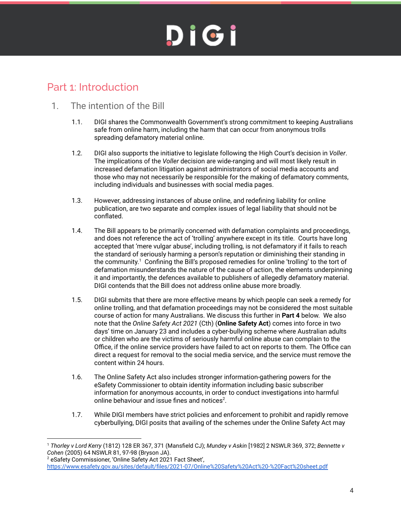### <span id="page-3-0"></span>Part 1: Introduction

### <span id="page-3-1"></span>1. The intention of the Bill

- 1.1. DIGI shares the Commonwealth Government's strong commitment to keeping Australians safe from online harm, including the harm that can occur from anonymous trolls spreading defamatory material online.
- 1.2. DIGI also supports the initiative to legislate following the High Court's decision in *Voller*. The implications of the *Voller* decision are wide-ranging and will most likely result in increased defamation litigation against administrators of social media accounts and those who may not necessarily be responsible for the making of defamatory comments, including individuals and businesses with social media pages.
- 1.3. However, addressing instances of abuse online, and redefining liability for online publication, are two separate and complex issues of legal liability that should not be conflated.
- 1.4. The Bill appears to be primarily concerned with defamation complaints and proceedings, and does not reference the act of 'trolling' anywhere except in its title. Courts have long accepted that 'mere vulgar abuse', including trolling, is not defamatory if it fails to reach the standard of seriously harming a person's reputation or diminishing their standing in the community.<sup>1</sup> Confining the Bill's proposed remedies for online 'trolling' to the tort of defamation misunderstands the nature of the cause of action, the elements underpinning it and importantly, the defences available to publishers of allegedly defamatory material. DIGI contends that the Bill does not address online abuse more broadly.
- 1.5. DIGI submits that there are more effective means by which people can seek a remedy for online trolling, and that defamation proceedings may not be considered the most suitable course of action for many Australians. We discuss this further in **Part 4** below. We also note that the *Online Safety Act 2021* (Cth) (**Online Safety Act**) comes into force in two days' time on January 23 and includes a cyber-bullying scheme where Australian adults or children who are the victims of seriously harmful online abuse can complain to the Office, if the online service providers have failed to act on reports to them. The Office can direct a request for removal to the social media service, and the service must remove the content within 24 hours.
- 1.6. The Online Safety Act also includes stronger information-gathering powers for the eSafety Commissioner to obtain identity information including basic subscriber information for anonymous accounts, in order to conduct investigations into harmful online behaviour and issue fines and notices<sup>2</sup>.
- 1.7. While DIGI members have strict policies and enforcement to prohibit and rapidly remove cyberbullying, DIGI posits that availing of the schemes under the Online Safety Act may

<sup>1</sup> *Thorley v Lord Kerry* (1812) 128 ER 367, 371 (Mansfield CJ); *Mundey v Askin* [1982] 2 NSWLR 369, 372; *Bennette v Cohen* (2005) 64 NSWLR 81, 97-98 (Bryson JA).

<sup>2</sup> eSafety Commissioner, 'Online Safety Act 2021 Fact Sheet', https://www.esafety.gov.au/sites/default/files/2021-07/Online%20Safety%20Act%20-%20Fact%20sheet.pdf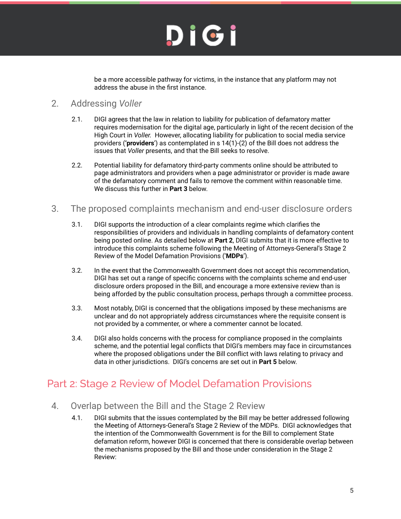be a more accessible pathway for victims, in the instance that any platform may not address the abuse in the first instance.

### <span id="page-4-0"></span>2. Addressing *Voller*

- 2.1. DIGI agrees that the law in relation to liability for publication of defamatory matter requires modernisation for the digital age, particularly in light of the recent decision of the High Court in *Voller.* However, allocating liability for publication to social media service providers (**'providers**') as contemplated in s 14(1)-(2) of the Bill does not address the issues that *Voller* presents, and that the Bill seeks to resolve.
- 2.2. Potential liability for defamatory third-party comments online should be attributed to page administrators and providers when a page administrator or provider is made aware of the defamatory comment and fails to remove the comment within reasonable time. We discuss this further in **Part 3** below.

### <span id="page-4-1"></span>3. The proposed complaints mechanism and end-user disclosure orders

- 3.1. DIGI supports the introduction of a clear complaints regime which clarifies the responsibilities of providers and individuals in handling complaints of defamatory content being posted online. As detailed below at **Part 2**, DIGI submits that it is more effective to introduce this complaints scheme following the Meeting of Attorneys-General's Stage 2 Review of the Model Defamation Provisions ('**MDPs**').
- 3.2. In the event that the Commonwealth Government does not accept this recommendation, DIGI has set out a range of specific concerns with the complaints scheme and end-user disclosure orders proposed in the Bill, and encourage a more extensive review than is being afforded by the public consultation process, perhaps through a committee process.
- 3.3. Most notably, DIGI is concerned that the obligations imposed by these mechanisms are unclear and do not appropriately address circumstances where the requisite consent is not provided by a commenter, or where a commenter cannot be located.
- 3.4. DIGI also holds concerns with the process for compliance proposed in the complaints scheme, and the potential legal conflicts that DIGI's members may face in circumstances where the proposed obligations under the Bill conflict with laws relating to privacy and data in other jurisdictions. DIGI's concerns are set out in **Part 5** below.

### <span id="page-4-2"></span>Part 2: Stage 2 Review of Model Defamation Provisions

- <span id="page-4-3"></span>4. Overlap between the Bill and the Stage 2 Review
	- 4.1. DIGI submits that the issues contemplated by the Bill may be better addressed following the Meeting of Attorneys-General's Stage 2 Review of the MDPs. DIGI acknowledges that the intention of the Commonwealth Government is for the Bill to complement State defamation reform, however DIGI is concerned that there is considerable overlap between the mechanisms proposed by the Bill and those under consideration in the Stage 2 Review: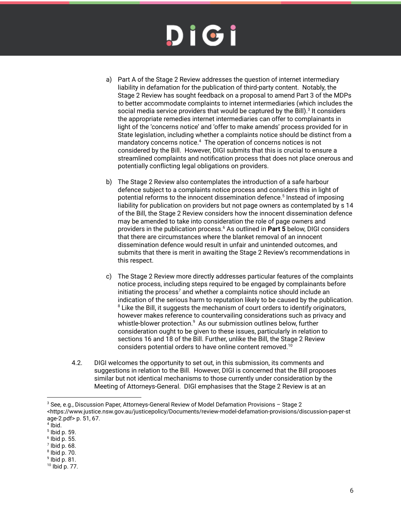- a) Part A of the Stage 2 Review addresses the question of internet intermediary liability in defamation for the publication of third-party content. Notably, the Stage 2 Review has sought feedback on a proposal to amend Part 3 of the MDPs to better accommodate complaints to internet intermediaries (which includes the social media service providers that would be captured by the Bill). $^3$  It considers the appropriate remedies internet intermediaries can offer to complainants in light of the 'concerns notice' and 'offer to make amends' process provided for in State legislation, including whether a complaints notice should be distinct from a mandatory concerns notice. $^4$  The operation of concerns notices is not considered by the Bill. However, DIGI submits that this is crucial to ensure a streamlined complaints and notification process that does not place onerous and potentially conflicting legal obligations on providers.
- b) The Stage 2 Review also contemplates the introduction of a safe harbour defence subject to a complaints notice process and considers this in light of potential reforms to the innocent dissemination defence.<sup>5</sup> Instead of imposing liability for publication on providers but not page owners as contemplated by s 14 of the Bill, the Stage 2 Review considers how the innocent dissemination defence may be amended to take into consideration the role of page owners and providers in the publication process.<sup>6</sup> As outlined in Part 5 below, DIGI considers that there are circumstances where the blanket removal of an innocent dissemination defence would result in unfair and unintended outcomes, and submits that there is merit in awaiting the Stage 2 Review's recommendations in this respect.
- c) The Stage 2 Review more directly addresses particular features of the complaints notice process, including steps required to be engaged by complainants before initiating the process<sup>7</sup> and whether a complaints notice should include an indication of the serious harm to reputation likely to be caused by the publication.  $^8$  Like the Bill, it suggests the mechanism of court orders to identify originators, however makes reference to countervailing considerations such as privacy and whistle-blower protection. $^9$  As our submission outlines below, further consideration ought to be given to these issues, particularly in relation to sections 16 and 18 of the Bill. Further, unlike the Bill, the Stage 2 Review considers potential orders to have online content removed.<sup>10</sup>
- 4.2. DIGI welcomes the opportunity to set out, in this submission, its comments and suggestions in relation to the Bill. However, DIGI is concerned that the Bill proposes similar but not identical mechanisms to those currently under consideration by the Meeting of Attorneys-General. DIGI emphasises that the Stage 2 Review is at an

- 5 Ibid p. 59.
- 6 Ibid p. 55.
- $7$  lbid p. 68.

9 Ibid p. 81.

<sup>3</sup> See, e.g., Discussion Paper, Attorneys-General Review of Model Defamation Provisions – Stage 2 <https://www.justice.nsw.gov.au/justicepolicy/Documents/review-model-defamation-provisions/discussion-paper-st age-2.pdf> p. 51, 67.

<sup>4</sup> Ibid.

<sup>8</sup> Ibid p. 70.

<sup>10</sup> Ibid p. 77.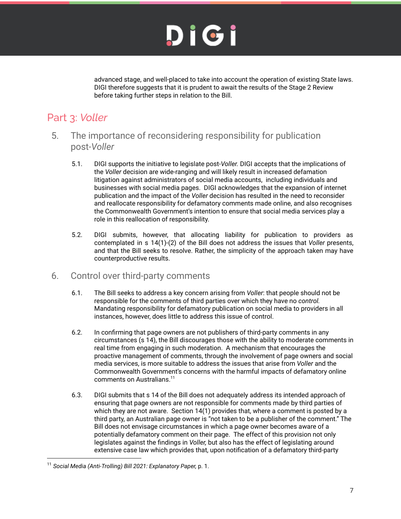advanced stage, and well-placed to take into account the operation of existing State laws. DIGI therefore suggests that it is prudent to await the results of the Stage 2 Review before taking further steps in relation to the Bill.

## <span id="page-6-0"></span>Part 3: *Voller*

- <span id="page-6-1"></span>5. The importance of reconsidering responsibility for publication post-*Voller*
	- 5.1. DIGI supports the initiative to legislate post-*Voller.* DIGI accepts that the implications of the *Voller* decision are wide-ranging and will likely result in increased defamation litigation against administrators of social media accounts, including individuals and businesses with social media pages. DIGI acknowledges that the expansion of internet publication and the impact of the *Voller* decision has resulted in the need to reconsider and reallocate responsibility for defamatory comments made online, and also recognises the Commonwealth Government's intention to ensure that social media services play a role in this reallocation of responsibility.
	- 5.2. DIGI submits, however, that allocating liability for publication to providers as contemplated in s 14(1)-(2) of the Bill does not address the issues that *Voller* presents, and that the Bill seeks to resolve. Rather, the simplicity of the approach taken may have counterproductive results.
- <span id="page-6-2"></span>6. Control over third-party comments
	- 6.1. The Bill seeks to address a key concern arising from *Voller*: that people should not be responsible for the comments of third parties over which they have no *control.* Mandating responsibility for defamatory publication on social media to providers in all instances, however, does little to address this issue of control.
	- 6.2. In confirming that page owners are not publishers of third-party comments in any circumstances (s 14), the Bill discourages those with the ability to moderate comments in real time from engaging in such moderation. A mechanism that encourages the proactive management of comments, through the involvement of page owners and social media services, is more suitable to address the issues that arise from *Voller* and the Commonwealth Government's concerns with the harmful impacts of defamatory online comments on Australians. 11
	- 6.3. DIGI submits that s 14 of the Bill does not adequately address its intended approach of ensuring that page owners are not responsible for comments made by third parties of which they are not aware. Section 14(1) provides that, where a comment is posted by a third party, an Australian page owner is "not taken to be a publisher of the comment." The Bill does not envisage circumstances in which a page owner becomes aware of a potentially defamatory comment on their page. The effect of this provision not only legislates against the findings in *Voller,* but also has the effect of legislating around extensive case law which provides that, upon notification of a defamatory third-party

<sup>11</sup> *Social Media (Anti-Trolling) Bill 2021: Explanatory Paper,* p. 1.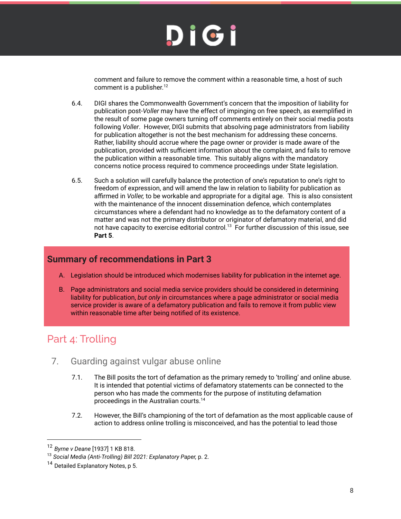comment and failure to remove the comment within a reasonable time, a host of such comment is a publisher.<sup>12</sup>

- 6.4. DIGI shares the Commonwealth Government's concern that the imposition of liability for publication post-*Voller* may have the effect of impinging on free speech, as exemplified in the result of some page owners turning off comments entirely on their social media posts following *Voller*. However, DIGI submits that absolving page administrators from liability for publication altogether is not the best mechanism for addressing these concerns. Rather, liability should accrue where the page owner or provider is made aware of the publication, provided with sufficient information about the complaint, and fails to remove the publication within a reasonable time. This suitably aligns with the mandatory concerns notice process required to commence proceedings under State legislation.
- 6.5. Such a solution will carefully balance the protection of one's reputation to one's right to freedom of expression, and will amend the law in relation to liability for publication as affirmed in *Voller,* to be workable and appropriate for a digital age. This is also consistent with the maintenance of the innocent dissemination defence, which contemplates circumstances where a defendant had no knowledge as to the defamatory content of a matter and was not the primary distributor or originator of defamatory material, and did not have capacity to exercise editorial control. $^{13}$  For further discussion of this issue, see **Part 5**.

### <span id="page-7-0"></span>**Summary of recommendations in Part 3**

- A. Legislation should be introduced which modernises liability for publication in the internet age.
- B. Page administrators and social media service providers should be considered in determining liability for publication, *but only* in circumstances where a page administrator or social media service provider is aware of a defamatory publication and fails to remove it from public view within reasonable time after being notified of its existence.

## <span id="page-7-1"></span>Part 4: Trolling

- <span id="page-7-2"></span>7. Guarding against vulgar abuse online
	- 7.1. The Bill posits the tort of defamation as the primary remedy to 'trolling' and online abuse. It is intended that potential victims of defamatory statements can be connected to the person who has made the comments for the purpose of instituting defamation proceedings in the Australian courts. 14
	- 7.2. However, the Bill's championing of the tort of defamation as the most applicable cause of action to address online trolling is misconceived, and has the potential to lead those

<sup>12</sup> *Byrne v Deane* [1937] 1 KB 818.

<sup>13</sup> *Social Media (Anti-Trolling) Bill 2021: Explanatory Paper,* p. 2.

<sup>&</sup>lt;sup>14</sup> Detailed Explanatory Notes, p 5.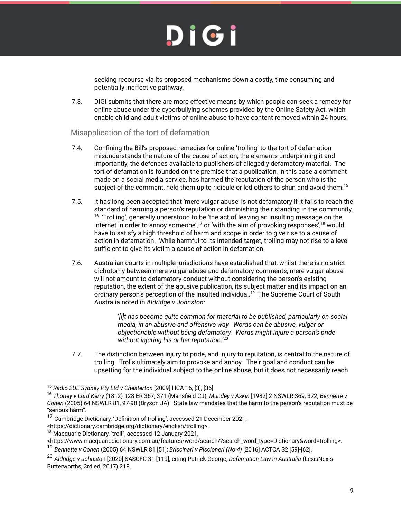seeking recourse via its proposed mechanisms down a costly, time consuming and potentially ineffective pathway.

7.3. DIGI submits that there are more effective means by which people can seek a remedy for online abuse under the cyberbullying schemes provided by the Online Safety Act, which enable child and adult victims of online abuse to have content removed within 24 hours.

#### Misapplication of the tort of defamation

- 7.4. Confining the Bill's proposed remedies for online 'trolling' to the tort of defamation misunderstands the nature of the cause of action, the elements underpinning it and importantly, the defences available to publishers of allegedly defamatory material. The tort of defamation is founded on the premise that a publication, in this case a comment made on a social media service, has harmed the reputation of the person who is the subject of the comment, held them up to ridicule or led others to shun and avoid them. $^{15}$
- 7.5. It has long been accepted that 'mere vulgar abuse' is not defamatory if it fails to reach the standard of harming a person's reputation or diminishing their standing in the community.  $16$  'Trolling', generally understood to be 'the act of leaving an insulting message on the internet in order to annoy someone',<sup>17</sup> or 'with the aim of provoking responses',<sup>18</sup> would have to satisfy a high threshold of harm and scope in order to give rise to a cause of action in defamation. While harmful to its intended target, trolling may not rise to a level sufficient to give its victim a cause of action in defamation.
- 7.6. Australian courts in multiple jurisdictions have established that, whilst there is no strict dichotomy between mere vulgar abuse and defamatory comments, mere vulgar abuse will not amount to defamatory conduct without considering the person's existing reputation, the extent of the abusive publication, its subject matter and its impact on an ordinary person's perception of the insulted individual.<sup>19</sup> The Supreme Court of South Australia noted in *Aldridge v Johnston:*

'*[i]t has become quite common for material to be published, particularly on social media, in an abusive and offensive way. Words can be abusive, vulgar or objectionable without being defamatory. Words might injure a person's pride without injuring his or her reputation.*' 20

7.7. The distinction between injury to pride, and injury to reputation, is central to the nature of trolling. Trolls ultimately aim to provoke and annoy. Their goal and conduct can be upsetting for the individual subject to the online abuse, but it does not necessarily reach

<sup>15</sup> *Radio 2UE Sydney Pty Ltd v Chesterton* [2009] HCA 16, [3], [36].

<sup>16</sup> *Thorley v Lord Kerry* (1812) 128 ER 367, 371 (Mansfield CJ); *Mundey v Askin* [1982] 2 NSWLR 369, 372; *Bennette v Cohen* (2005) 64 NSWLR 81, 97-98 (Bryson JA). State law mandates that the harm to the person's reputation must be "serious harm".

<sup>17</sup> Cambridge Dictionary, 'Definition of trolling', accessed 21 December 2021,

<sup>&</sup>lt;https://dictionary.cambridge.org/dictionary/english/trolling>.

<sup>&</sup>lt;sup>18</sup> Macquarie Dictionary, 'troll", accessed 12 January 2021,

<sup>&</sup>lt;https://www.macquariedictionary.com.au/features/word/search/?search\_word\_type=Dictionary&word=trolling>.

<sup>19</sup> *Bennette v Cohen* (2005) 64 NSWLR 81 [51]; *Briscinari v Piscioneri (No 4)* [2016] ACTCA 32 [59]-[62].

<sup>20</sup> *Aldridge v Johnsto*n [2020] SASCFC 31 [119], citing Patrick George, *Defamation Law in Australia* (LexisNexis Butterworths, 3rd ed, 2017) 218.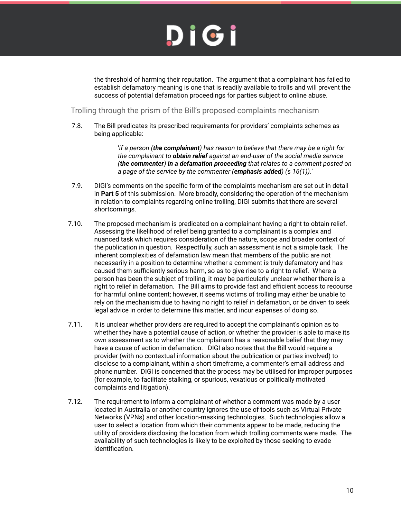the threshold of harming their reputation. The argument that a complainant has failed to establish defamatory meaning is one that is readily available to trolls and will prevent the success of potential defamation proceedings for parties subject to online abuse.

Trolling through the prism of the Bill's proposed complaints mechanism

7.8. The Bill predicates its prescribed requirements for providers' complaints schemes as being applicable:

> '*if a person (the complainant) has reason to believe that there may be a right for the complainant to obtain relief against an end-user of the social media service (the commenter) in a defamation proceeding that relates to a comment posted on a page of the service by the commenter (emphasis added) (s 16(1)).*'

- 7.9. DIGI's comments on the specific form of the complaints mechanism are set out in detail in **Part 5** of this submission. More broadly, considering the operation of the mechanism in relation to complaints regarding online trolling, DIGI submits that there are several shortcomings.
- 7.10. The proposed mechanism is predicated on a complainant having a right to obtain relief. Assessing the likelihood of relief being granted to a complainant is a complex and nuanced task which requires consideration of the nature, scope and broader context of the publication in question. Respectfully, such an assessment is not a simple task. The inherent complexities of defamation law mean that members of the public are not necessarily in a position to determine whether a comment is truly defamatory and has caused them sufficiently serious harm, so as to give rise to a right to relief. Where a person has been the subject of trolling, it may be particularly unclear whether there is a right to relief in defamation. The Bill aims to provide fast and efficient access to recourse for harmful online content; however, it seems victims of trolling may either be unable to rely on the mechanism due to having no right to relief in defamation, or be driven to seek legal advice in order to determine this matter, and incur expenses of doing so.
- 7.11. It is unclear whether providers are required to accept the complainant's opinion as to whether they have a potential cause of action, or whether the provider is able to make its own assessment as to whether the complainant has a reasonable belief that they may have a cause of action in defamation. DIGI also notes that the Bill would require a provider (with no contextual information about the publication or parties involved) to disclose to a complainant, within a short timeframe, a commenter's email address and phone number. DIGI is concerned that the process may be utilised for improper purposes (for example, to facilitate stalking, or spurious, vexatious or politically motivated complaints and litigation).
- 7.12. The requirement to inform a complainant of whether a comment was made by a user located in Australia or another country ignores the use of tools such as Virtual Private Networks (VPNs) and other location-masking technologies. Such technologies allow a user to select a location from which their comments appear to be made, reducing the utility of providers disclosing the location from which trolling comments were made. The availability of such technologies is likely to be exploited by those seeking to evade identification.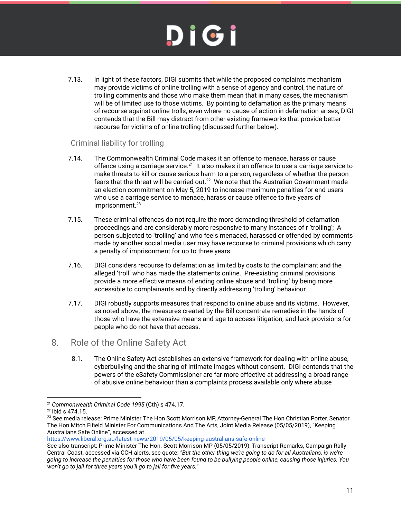7.13. In light of these factors, DIGI submits that while the proposed complaints mechanism may provide victims of online trolling with a sense of agency and control, the nature of trolling comments and those who make them mean that in many cases, the mechanism will be of limited use to those victims. By pointing to defamation as the primary means of recourse against online trolls, even where no cause of action in defamation arises, DIGI contends that the Bill may distract from other existing frameworks that provide better recourse for victims of online trolling (discussed further below).

### <span id="page-10-0"></span>Criminal liability for trolling

- 7.14. The Commonwealth Criminal Code makes it an offence to menace, harass or cause offence using a carriage service. $^{21}$  It also makes it an offence to use a carriage service to make threats to kill or cause serious harm to a person, regardless of whether the person fears that the threat will be carried out. $^{22}$  We note that the Australian Government made an election commitment on May 5, 2019 to increase maximum penalties for end-users who use a carriage service to menace, harass or cause offence to five years of imprisonment. 23
- 7.15. These criminal offences do not require the more demanding threshold of defamation proceedings and are considerably more responsive to many instances of r 'trolling'; A person subjected to 'trolling' and who feels menaced, harassed or offended by comments made by another social media user may have recourse to criminal provisions which carry a penalty of imprisonment for up to three years.
- 7.16. DIGI considers recourse to defamation as limited by costs to the complainant and the alleged 'troll' who has made the statements online. Pre-existing criminal provisions provide a more effective means of ending online abuse and 'trolling' by being more accessible to complainants and by directly addressing 'trolling' behaviour.
- 7.17. DIGI robustly supports measures that respond to online abuse and its victims. However, as noted above, the measures created by the Bill concentrate remedies in the hands of those who have the extensive means and age to access litigation, and lack provisions for people who do not have that access.
- <span id="page-10-1"></span>8. Role of the Online Safety Act
	- 8.1. The Online Safety Act establishes an extensive framework for dealing with online abuse, cyberbullying and the sharing of intimate images without consent. DIGI contends that the powers of the eSafety Commissioner are far more effective at addressing a broad range of abusive online behaviour than a complaints process available only where abuse

<https://www.liberal.org.au/latest-news/2019/05/05/keeping-australians-safe-online>

<sup>21</sup> *Commonwealth Criminal Code 1995* (Cth) s 474.17.

<sup>22</sup> Ibid s 474.15.

<sup>&</sup>lt;sup>23</sup> See media release: Prime Minister The Hon Scott Morrison MP, Attorney-General The Hon Christian Porter, Senator The Hon Mitch Fifield Minister For Communications And The Arts, Joint Media Release (05/05/2019), "Keeping Australians Safe Online", accessed at

See also transcript: Prime Minister The Hon. Scott Morrison MP (05/05/2019), Transcript Remarks, Campaign Rally Central Coast, accessed via CCH alerts, see quote: *"But the other thing we're going to do for all Australians, is we're going to increase the penalties for those who have been found to be bullying people online, causing those injuries. You won't go to jail for three years you'll go to jail for five years."*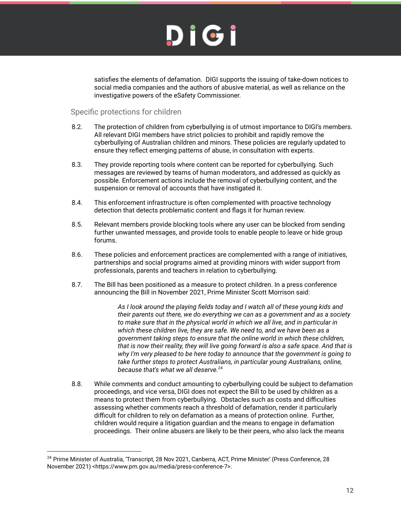

satisfies the elements of defamation. DIGI supports the issuing of take-down notices to social media companies and the authors of abusive material, as well as reliance on the investigative powers of the eSafety Commissioner.

#### <span id="page-11-0"></span>Specific protections for children

- 8.2. The protection of children from cyberbullying is of utmost importance to DIGI's members. All relevant DIGI members have strict policies to prohibit and rapidly remove the cyberbullying of Australian children and minors. These policies are regularly updated to ensure they reflect emerging patterns of abuse, in consultation with experts.
- 8.3. They provide reporting tools where content can be reported for cyberbullying. Such messages are reviewed by teams of human moderators, and addressed as quickly as possible. Enforcement actions include the removal of cyberbullying content, and the suspension or removal of accounts that have instigated it.
- 8.4. This enforcement infrastructure is often complemented with proactive technology detection that detects problematic content and flags it for human review.
- 8.5. Relevant members provide blocking tools where any user can be blocked from sending further unwanted messages, and provide tools to enable people to leave or hide group forums.
- 8.6. These policies and enforcement practices are complemented with a range of initiatives, partnerships and social programs aimed at providing minors with wider support from professionals, parents and teachers in relation to cyberbullying.
- 8.7. The Bill has been positioned as a measure to protect children. In a press conference announcing the Bill in November 2021, Prime Minister Scott Morrison said:

*As I look around the playing fields today and I watch all of these young kids and their parents out there, we do everything we can as a government and as a society to make sure that in the physical world in which we all live, and in particular in which these children live, they are safe. We need to, and we have been as a government taking steps to ensure that the online world in which these children, that is now their reality, they will live going forward is also a safe space. And that is why I'm very pleased to be here today to announce that the government is going to take further steps to protect Australians, in particular young Australians, online, because that's what we all deserve.* 24

8.8. While comments and conduct amounting to cyberbullying could be subject to defamation proceedings, and vice versa, DIGI does not expect the Bill to be used by children as a means to protect them from cyberbullying. Obstacles such as costs and difficulties assessing whether comments reach a threshold of defamation, render it particularly difficult for children to rely on defamation as a means of protection online. Further, children would require a litigation guardian and the means to engage in defamation proceedings. Their online abusers are likely to be their peers, who also lack the means

<sup>&</sup>lt;sup>24</sup> Prime Minister of Australia, 'Transcript, 28 Nov 2021, Canberra, ACT, Prime Minister' (Press Conference, 28 November 2021) <https://www.pm.gov.au/media/press-conference-7>.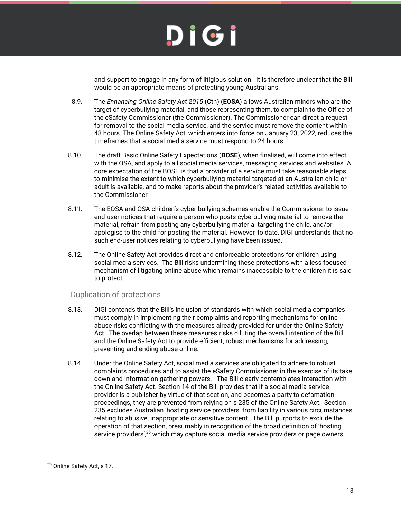

and support to engage in any form of litigious solution. It is therefore unclear that the Bill would be an appropriate means of protecting young Australians.

- 8.9. The *Enhancing Online Safety Act 2015* (Cth) (**EOSA**) allows Australian minors who are the target of cyberbullying material, and those representing them, to complain to the Office of the eSafety Commissioner (the Commissioner). The Commissioner can direct a request for removal to the social media service, and the service must remove the content within 48 hours. The Online Safety Act, which enters into force on January 23, 2022, reduces the timeframes that a social media service must respond to 24 hours.
- 8.10. The draft Basic Online Safety Expectations (**BOSE**), when finalised, will come into effect with the OSA, and apply to all social media services, messaging services and websites. A core expectation of the BOSE is that a provider of a service must take reasonable steps to minimise the extent to which cyberbullying material targeted at an Australian child or adult is available, and to make reports about the provider's related activities available to the Commissioner.
- 8.11. The EOSA and OSA children's cyber bullying schemes enable the Commissioner to issue end-user notices that require a person who posts cyberbullying material to remove the material, refrain from posting any cyberbullying material targeting the child, and/or apologise to the child for posting the material. However, to date, DIGI understands that no such end-user notices relating to cyberbullying have been issued.
- 8.12. The Online Safety Act provides direct and enforceable protections for children using social media services. The Bill risks undermining these protections with a less focused mechanism of litigating online abuse which remains inaccessible to the children it is said to protect.

### <span id="page-12-0"></span>Duplication of protections

- 8.13. DIGI contends that the Bill's inclusion of standards with which social media companies must comply in implementing their complaints and reporting mechanisms for online abuse risks conflicting with the measures already provided for under the Online Safety Act. The overlap between these measures risks diluting the overall intention of the Bill and the Online Safety Act to provide efficient, robust mechanisms for addressing, preventing and ending abuse online.
- 8.14. Under the Online Safety Act, social media services are obligated to adhere to robust complaints procedures and to assist the eSafety Commissioner in the exercise of its take down and information gathering powers. The Bill clearly contemplates interaction with the Online Safety Act. Section 14 of the Bill provides that if a social media service provider is a publisher by virtue of that section, and becomes a party to defamation proceedings, they are prevented from relying on s 235 of the Online Safety Act. Section 235 excludes Australian 'hosting service providers' from liability in various circumstances relating to abusive, inappropriate or sensitive content. The Bill purports to exclude the operation of that section, presumably in recognition of the broad definition of 'hosting service providers', $25$  which may capture social media service providers or page owners.

<sup>&</sup>lt;sup>25</sup> Online Safety Act, s 17.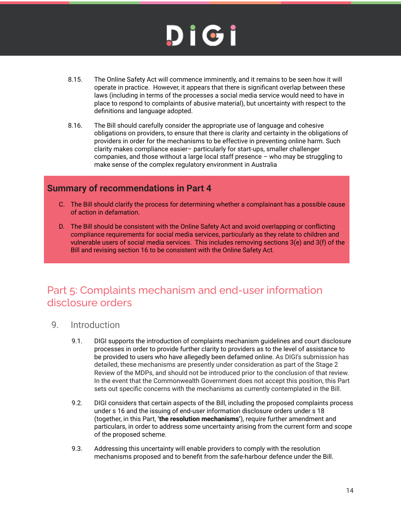- 8.15. The Online Safety Act will commence imminently, and it remains to be seen how it will operate in practice. However, it appears that there is significant overlap between these laws (including in terms of the processes a social media service would need to have in place to respond to complaints of abusive material), but uncertainty with respect to the definitions and language adopted.
- 8.16. The Bill should carefully consider the appropriate use of language and cohesive obligations on providers, to ensure that there is clarity and certainty in the obligations of providers in order for the mechanisms to be effective in preventing online harm. Such clarity makes compliance easier– particularly for start-ups, smaller challenger companies, and those without a large local staff presence – who may be struggling to make sense of the complex regulatory environment in Australia

### <span id="page-13-0"></span>**Summary of recommendations in Part 4**

- C. The Bill should clarify the process for determining whether a complainant has a possible cause of action in defamation.
- D. The Bill should be consistent with the Online Safety Act and avoid overlapping or conflicting compliance requirements for social media services, particularly as they relate to children and vulnerable users of social media services. This includes removing sections 3(e) and 3(f) of the Bill and revising section 16 to be consistent with the Online Safety Act.

### <span id="page-13-1"></span>Part 5: Complaints mechanism and end-user information disclosure orders

- <span id="page-13-2"></span>9. Introduction
	- 9.1. DIGI supports the introduction of complaints mechanism guidelines and court disclosure processes in order to provide further clarity to providers as to the level of assistance to be provided to users who have allegedly been defamed online. As DIGI's submission has detailed, these mechanisms are presently under consideration as part of the Stage 2 Review of the MDPs, and should not be introduced prior to the conclusion of that review. In the event that the Commonwealth Government does not accept this position, this Part sets out specific concerns with the mechanisms as currently contemplated in the Bill.
	- 9.2. DIGI considers that certain aspects of the Bill, including the proposed complaints process under s 16 and the issuing of end-user information disclosure orders under s 18 (together, in this Part, **'the resolution mechanisms'**), require further amendment and particulars, in order to address some uncertainty arising from the current form and scope of the proposed scheme.
	- 9.3. Addressing this uncertainty will enable providers to comply with the resolution mechanisms proposed and to benefit from the safe-harbour defence under the Bill.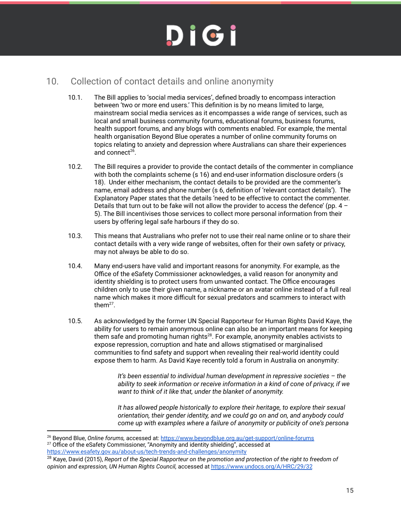### <span id="page-14-0"></span>10. Collection of contact details and online anonymity

- 10.1. The Bill applies to 'social media services', defined broadly to encompass interaction between 'two or more end users.' This definition is by no means limited to large, mainstream social media services as it encompasses a wide range of services, such as local and small business community forums, educational forums, business forums, health support forums, and any blogs with comments enabled. For example, the mental health organisation Beyond Blue operates a number of online community forums on topics relating to anxiety and depression where Australians can share their experiences and connect<sup>26</sup>.
- 10.2. The Bill requires a provider to provide the contact details of the commenter in compliance with both the complaints scheme (s 16) and end-user information disclosure orders (s 18). Under either mechanism, the contact details to be provided are the commenter's name, email address and phone number (s 6, definition of 'relevant contact details'). The Explanatory Paper states that the details 'need to be effective to contact the commenter. Details that turn out to be fake will not allow the provider to access the defence' (pp.  $4$  – 5). The Bill incentivises those services to collect more personal information from their users by offering legal safe harbours if they do so.
- 10.3. This means that Australians who prefer not to use their real name online or to share their contact details with a very wide range of websites, often for their own safety or privacy, may not always be able to do so.
- 10.4. Many end-users have valid and important reasons for anonymity. For example, as the Office of the eSafety Commissioner acknowledges, a valid reason for anonymity and identity shielding is to protect users from unwanted contact. The Office encourages children only to use their given name, a nickname or an avatar online instead of a full real name which makes it more difficult for sexual predators and scammers to interact with them $^{27}$ .
- 10.5. As acknowledged by the former UN Special Rapporteur for Human Rights David Kaye, the ability for users to remain anonymous online can also be an important means for keeping them safe and promoting human rights $^{28}$ . For example, anonymity enables activists to expose repression, corruption and hate and allows stigmatised or marginalised communities to find safety and support when revealing their real-world identity could expose them to harm. As David Kaye recently told a forum in Australia on anonymity:

*It's been essential to individual human development in repressive societies – the ability to seek information or receive information in a kind of cone of privacy, if we want to think of it like that, under the blanket of anonymity.*

*It has allowed people historically to explore their heritage, to explore their sexual orientation, their gender identity, and we could go on and on, and anybody could come up with examples where a failure of anonymity or publicity of one's persona*

 $27$  Office of the eSafety Commissioner, "Anonymity and identity shielding", accessed at <sup>26</sup> Beyond Blue, *Online forums,* accessed at: <https://www.beyondblue.org.au/get-support/online-forums>

<https://www.esafety.gov.au/about-us/tech-trends-and-challenges/anonymity>

<sup>28</sup> Kaye, David (2015), *Report of the Special Rapporteur on the promotion and protection of the right to freedom of opinion and expression, UN Human Rights Council,* accessed at<https://www.undocs.org/A/HRC/29/32>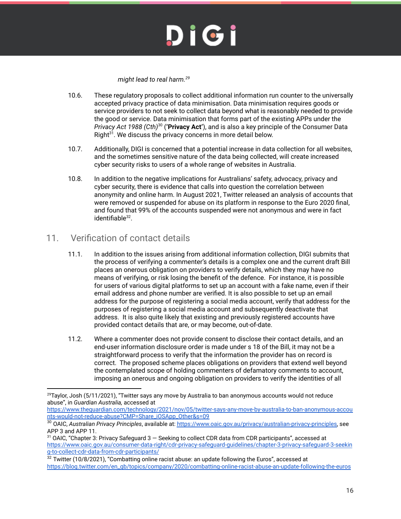#### *might lead to real harm. 29*

- 10.6. These regulatory proposals to collect additional information run counter to the universally accepted privacy practice of data minimisation. Data minimisation requires goods or service providers to not seek to collect data beyond what is reasonably needed to provide the good or service. Data minimisation that forms part of the existing APPs under the *Privacy Act 1988 (Cth)* (**'Privacy Act'**), and is also a key principle of the Consumer Data 30 Right<sup>31</sup>. We discuss the privacy concerns in more detail below.
- 10.7. Additionally, DIGI is concerned that a potential increase in data collection for all websites, and the sometimes sensitive nature of the data being collected, will create increased cyber security risks to users of a whole range of websites in Australia.
- 10.8. In addition to the negative implications for Australians' safety, advocacy, privacy and cyber security, there is evidence that calls into question the correlation between anonymity and online harm. In August 2021, Twitter released an analysis of accounts that were removed or suspended for abuse on its platform in response to the Euro 2020 final, and found that 99% of the accounts suspended were not anonymous and were in fact identifiable<sup>32</sup>.

### <span id="page-15-0"></span>11. Verification of contact details

- 11.1. In addition to the issues arising from additional information collection, DIGI submits that the process of verifying a commenter's details is a complex one and the current draft Bill places an onerous obligation on providers to verify details, which they may have no means of verifying, or risk losing the benefit of the defence. For instance, it is possible for users of various digital platforms to set up an account with a fake name, even if their email address and phone number are verified. It is also possible to set up an email address for the purpose of registering a social media account, verify that address for the purposes of registering a social media account and subsequently deactivate that address. It is also quite likely that existing and previously registered accounts have provided contact details that are, or may become, out-of-date.
- 11.2. Where a commenter does not provide consent to disclose their contact details, and an end-user information disclosure order is made under s 18 of the Bill, it may not be a straightforward process to verify that the information the provider has on record is correct. The proposed scheme places obligations on providers that extend well beyond the contemplated scope of holding commenters of defamatory comments to account, imposing an onerous and ongoing obligation on providers to verify the identities of all

 $29$ Taylor, Josh (5/11/2021), "Twitter says any move by Australia to ban anonymous accounts would not reduce abuse", in *Guardian Australia,* accessed at

[https://www.theguardian.com/technology/2021/nov/05/twitter-says-any-move-by-australia-to-ban-anonymous-accou](https://www.theguardian.com/technology/2021/nov/05/twitter-says-any-move-by-australia-to-ban-anonymous-accounts-would-not-reduce-abuse?CMP=Share_iOSApp_Other&s=09) [nts-would-not-reduce-abuse?CMP=Share\\_iOSApp\\_Other&s=09](https://www.theguardian.com/technology/2021/nov/05/twitter-says-any-move-by-australia-to-ban-anonymous-accounts-would-not-reduce-abuse?CMP=Share_iOSApp_Other&s=09)

<sup>30</sup> OAIC, *Australian Privacy Principles*, available at: [https://www.oaic.gov.au/privacy/australian-privacy-principles,](https://www.oaic.gov.au/privacy/australian-privacy-principles) see APP 3 and APP 11.

<sup>31</sup> OAIC, "Chapter 3: Privacy Safeguard 3 — Seeking to collect CDR data from CDR participants", accessed at [https://www.oaic.gov.au/consumer-data-right/cdr-privacy-safeguard-guidelines/chapter-3-privacy-safeguard-3-seekin](https://www.oaic.gov.au/consumer-data-right/cdr-privacy-safeguard-guidelines/chapter-3-privacy-safeguard-3-seeking-to-collect-cdr-data-from-cdr-participants/) [g-to-collect-cdr-data-from-cdr-participants/](https://www.oaic.gov.au/consumer-data-right/cdr-privacy-safeguard-guidelines/chapter-3-privacy-safeguard-3-seeking-to-collect-cdr-data-from-cdr-participants/)

 $32$  Twitter (10/8/2021), "Combatting online racist abuse: an update following the Euros", accessed at [https://blog.twitter.com/en\\_gb/topics/company/2020/combatting-online-racist-abuse-an-update-following-the-euros](https://blog.twitter.com/en_gb/topics/company/2020/combatting-online-racist-abuse-an-update-following-the-euros)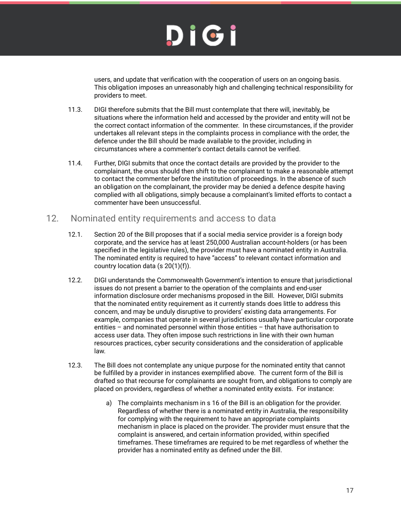users, and update that verification with the cooperation of users on an ongoing basis. This obligation imposes an unreasonably high and challenging technical responsibility for providers to meet.

- 11.3. DIGI therefore submits that the Bill must contemplate that there will, inevitably, be situations where the information held and accessed by the provider and entity will not be the correct contact information of the commenter. In these circumstances, if the provider undertakes all relevant steps in the complaints process in compliance with the order, the defence under the Bill should be made available to the provider, including in circumstances where a commenter's contact details cannot be verified.
- 11.4. Further, DIGI submits that once the contact details are provided by the provider to the complainant, the onus should then shift to the complainant to make a reasonable attempt to contact the commenter before the institution of proceedings. In the absence of such an obligation on the complainant, the provider may be denied a defence despite having complied with all obligations, simply because a complainant's limited efforts to contact a commenter have been unsuccessful.

### <span id="page-16-0"></span>12. Nominated entity requirements and access to data

- 12.1. Section 20 of the Bill proposes that if a social media service provider is a foreign body corporate, and the service has at least 250,000 Australian account-holders (or has been specified in the legislative rules), the provider must have a nominated entity in Australia. The nominated entity is required to have "access" to relevant contact information and country location data (s 20(1)(f)).
- 12.2. DIGI understands the Commonwealth Government's intention to ensure that jurisdictional issues do not present a barrier to the operation of the complaints and end-user information disclosure order mechanisms proposed in the Bill. However, DIGI submits that the nominated entity requirement as it currently stands does little to address this concern, and may be unduly disruptive to providers' existing data arrangements. For example, companies that operate in several jurisdictions usually have particular corporate entities – and nominated personnel within those entities – that have authorisation to access user data. They often impose such restrictions in line with their own human resources practices, cyber security considerations and the consideration of applicable law.
- 12.3. The Bill does not contemplate any unique purpose for the nominated entity that cannot be fulfilled by a provider in instances exemplified above. The current form of the Bill is drafted so that recourse for complainants are sought from, and obligations to comply are placed on providers, regardless of whether a nominated entity exists. For instance:
	- a) The complaints mechanism in s 16 of the Bill is an obligation for the provider. Regardless of whether there is a nominated entity in Australia, the responsibility for complying with the requirement to have an appropriate complaints mechanism in place is placed on the provider. The provider must ensure that the complaint is answered, and certain information provided, within specified timeframes. These timeframes are required to be met regardless of whether the provider has a nominated entity as defined under the Bill.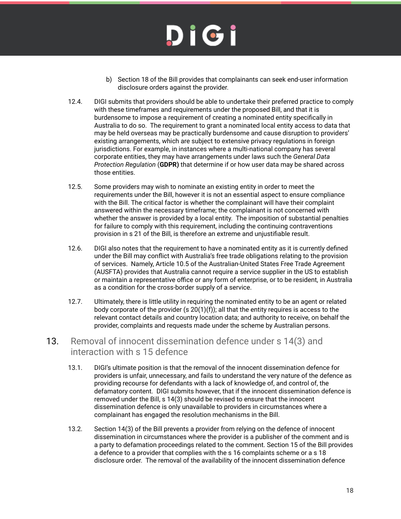- b) Section 18 of the Bill provides that complainants can seek end-user information disclosure orders against the provider.
- 12.4. DIGI submits that providers should be able to undertake their preferred practice to comply with these timeframes and requirements under the proposed Bill, and that it is burdensome to impose a requirement of creating a nominated entity specifically in Australia to do so. The requirement to grant a nominated local entity access to data that may be held overseas may be practically burdensome and cause disruption to providers' existing arrangements, which are subject to extensive privacy regulations in foreign jurisdictions. For example, in instances where a multi-national company has several corporate entities, they may have arrangements under laws such the *General Data Protection Regulation* (**GDPR)** that determine if or how user data may be shared across those entities.
- 12.5. Some providers may wish to nominate an existing entity in order to meet the requirements under the Bill, however it is not an essential aspect to ensure compliance with the Bill. The critical factor is whether the complainant will have their complaint answered within the necessary timeframe; the complainant is not concerned with whether the answer is provided by a local entity. The imposition of substantial penalties for failure to comply with this requirement, including the continuing contraventions provision in s 21 of the Bill, is therefore an extreme and unjustifiable result.
- 12.6. DIGI also notes that the requirement to have a nominated entity as it is currently defined under the Bill may conflict with Australia's free trade obligations relating to the provision of services. Namely, Article 10.5 of the Australian-United States Free Trade Agreement (AUSFTA) provides that Australia cannot require a service supplier in the US to establish or maintain a representative office or any form of enterprise, or to be resident, in Australia as a condition for the cross-border supply of a service.
- 12.7. Ultimately, there is little utility in requiring the nominated entity to be an agent or related body corporate of the provider (s  $20(1)(f)$ ); all that the entity requires is access to the relevant contact details and country location data; and authority to receive, on behalf the provider, complaints and requests made under the scheme by Australian persons.

### 13. Removal of innocent dissemination defence under s 14(3) and interaction with s 15 defence

- 13.1. DIGI's ultimate position is that the removal of the innocent dissemination defence for providers is unfair, unnecessary, and fails to understand the very nature of the defence as providing recourse for defendants with a lack of knowledge of, and control of, the defamatory content. DIGI submits however, that if the innocent dissemination defence is removed under the Bill, s 14(3) should be revised to ensure that the innocent dissemination defence is only unavailable to providers in circumstances where a complainant has engaged the resolution mechanisms in the Bill.
- 13.2. Section 14(3) of the Bill prevents a provider from relying on the defence of innocent dissemination in circumstances where the provider is a publisher of the comment and is a party to defamation proceedings related to the comment. Section 15 of the Bill provides a defence to a provider that complies with the s 16 complaints scheme or a s 18 disclosure order. The removal of the availability of the innocent dissemination defence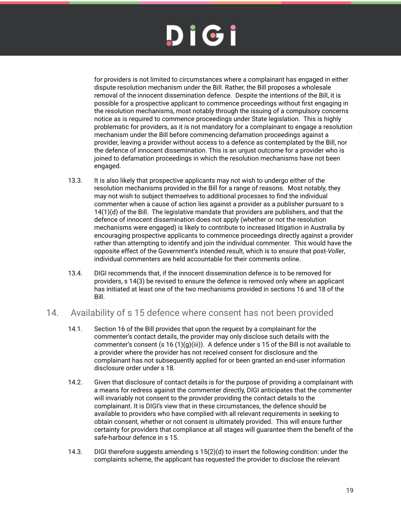for providers is not limited to circumstances where a complainant has engaged in either dispute resolution mechanism under the Bill. Rather, the Bill proposes a wholesale removal of the innocent dissemination defence. Despite the intentions of the Bill, it is possible for a prospective applicant to commence proceedings without first engaging in the resolution mechanisms, most notably through the issuing of a compulsory concerns notice as is required to commence proceedings under State legislation. This is highly problematic for providers, as it is not mandatory for a complainant to engage a resolution mechanism under the Bill before commencing defamation proceedings against a provider, leaving a provider without access to a defence as contemplated by the Bill, nor the defence of innocent dissemination. This is an unjust outcome for a provider who is joined to defamation proceedings in which the resolution mechanisms have not been engaged.

- 13.3. It is also likely that prospective applicants may not wish to undergo either of the resolution mechanisms provided in the Bill for a range of reasons. Most notably, they may not wish to subject themselves to additional processes to find the individual commenter when a cause of action lies against a provider as a publisher pursuant to s 14(1)(d) of the Bill. The legislative mandate that providers are publishers, and that the defence of innocent dissemination does not apply (whether or not the resolution mechanisms were engaged) is likely to contribute to increased litigation in Australia by encouraging prospective applicants to commence proceedings directly against a provider rather than attempting to identify and join the individual commenter. This would have the opposite effect of the Government's intended result, which is to ensure that post-*Voller*, individual commenters are held accountable for their comments online.
- 13.4. DIGI recommends that, if the innocent dissemination defence is to be removed for providers, s 14(3) be revised to ensure the defence is removed only where an applicant has initiated at least one of the two mechanisms provided in sections 16 and 18 of the Bill.

### <span id="page-18-0"></span>14. Availability of s 15 defence where consent has not been provided

- 14.1. Section 16 of the Bill provides that upon the request by a complainant for the commenter's contact details, the provider may only disclose such details with the commenter's consent (s 16 (1)(g)(iii)). A defence under s 15 of the Bill is not available to a provider where the provider has not received consent for disclosure and the complainant has not subsequently applied for or been granted an end-user information disclosure order under s 18.
- 14.2. Given that disclosure of contact details is for the purpose of providing a complainant with a means for redress against the commenter directly, DIGI anticipates that the commenter will invariably not consent to the provider providing the contact details to the complainant. It is DIGI's view that in these circumstances, the defence should be available to providers who have complied with all relevant requirements in seeking to obtain consent, whether or not consent is ultimately provided. This will ensure further certainty for providers that compliance at all stages will guarantee them the benefit of the safe-harbour defence in s 15.
- 14.3. DIGI therefore suggests amending s 15(2)(d) to insert the following condition: under the complaints scheme, the applicant has requested the provider to disclose the relevant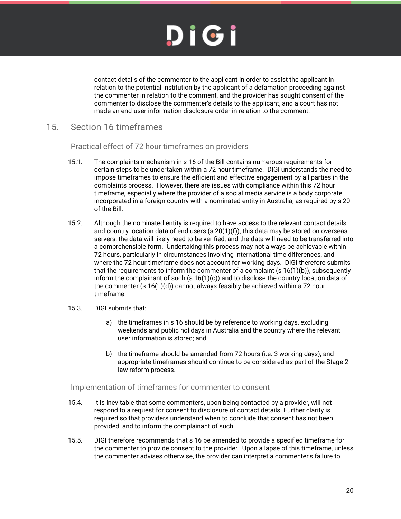contact details of the commenter to the applicant in order to assist the applicant in relation to the potential institution by the applicant of a defamation proceeding against the commenter in relation to the comment, and the provider has sought consent of the commenter to disclose the commenter's details to the applicant, and a court has not made an end-user information disclosure order in relation to the comment.

### <span id="page-19-1"></span><span id="page-19-0"></span>15. Section 16 timeframes

Practical effect of 72 hour timeframes on providers

- 15.1. The complaints mechanism in s 16 of the Bill contains numerous requirements for certain steps to be undertaken within a 72 hour timeframe. DIGI understands the need to impose timeframes to ensure the efficient and effective engagement by all parties in the complaints process. However, there are issues with compliance within this 72 hour timeframe, especially where the provider of a social media service is a body corporate incorporated in a foreign country with a nominated entity in Australia, as required by s 20 of the Bill.
- 15.2. Although the nominated entity is required to have access to the relevant contact details and country location data of end-users (s  $20(1)(f)$ ), this data may be stored on overseas servers, the data will likely need to be verified, and the data will need to be transferred into a comprehensible form. Undertaking this process may not always be achievable within 72 hours, particularly in circumstances involving international time differences, and where the 72 hour timeframe does not account for working days. DIGI therefore submits that the requirements to inform the commenter of a complaint  $(s 16(1)(b))$ , subsequently inform the complainant of such  $(s 16(1)(c))$  and to disclose the country location data of the commenter (s 16(1)(d)) cannot always feasibly be achieved within a 72 hour timeframe.
- 15.3. DIGI submits that:
	- a) the timeframes in s 16 should be by reference to working days, excluding weekends and public holidays in Australia and the country where the relevant user information is stored; and
	- b) the timeframe should be amended from 72 hours (i.e. 3 working days), and appropriate timeframes should continue to be considered as part of the Stage 2 law reform process.

### <span id="page-19-2"></span>Implementation of timeframes for commenter to consent

- 15.4. It is inevitable that some commenters, upon being contacted by a provider, will not respond to a request for consent to disclosure of contact details. Further clarity is required so that providers understand when to conclude that consent has not been provided, and to inform the complainant of such.
- 15.5. DIGI therefore recommends that s 16 be amended to provide a specified timeframe for the commenter to provide consent to the provider. Upon a lapse of this timeframe, unless the commenter advises otherwise, the provider can interpret a commenter's failure to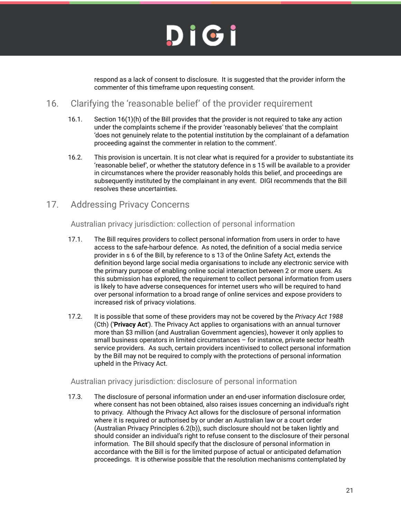

respond as a lack of consent to disclosure. It is suggested that the provider inform the commenter of this timeframe upon requesting consent.

### <span id="page-20-0"></span>16. Clarifying the 'reasonable belief' of the provider requirement

- 16.1. Section 16(1)(h) of the Bill provides that the provider is not required to take any action under the complaints scheme if the provider 'reasonably believes' that the complaint 'does not genuinely relate to the potential institution by the complainant of a defamation proceeding against the commenter in relation to the comment'.
- 16.2. This provision is uncertain. It is not clear what is required for a provider to substantiate its 'reasonable belief', or whether the statutory defence in s 15 will be available to a provider in circumstances where the provider reasonably holds this belief, and proceedings are subsequently instituted by the complainant in any event. DIGI recommends that the Bill resolves these uncertainties.

### <span id="page-20-2"></span><span id="page-20-1"></span>17. Addressing Privacy Concerns

Australian privacy jurisdiction: collection of personal information

- 17.1. The Bill requires providers to collect personal information from users in order to have access to the safe-harbour defence. As noted, the definition of a social media service provider in s 6 of the Bill, by reference to s 13 of the Online Safety Act, extends the definition beyond large social media organisations to include any electronic service with the primary purpose of enabling online social interaction between 2 or more users. As this submission has explored, the requirement to collect personal information from users is likely to have adverse consequences for internet users who will be required to hand over personal information to a broad range of online services and expose providers to increased risk of privacy violations.
- 17.2. It is possible that some of these providers may not be covered by the *Privacy Act 1988* (Cth) ('**Privacy Act**'). The Privacy Act applies to organisations with an annual turnover more than \$3 million (and Australian Government agencies), however it only applies to small business operators in limited circumstances – for instance, private sector health service providers. As such, certain providers incentivised to collect personal information by the Bill may not be required to comply with the protections of personal information upheld in the Privacy Act.

### <span id="page-20-3"></span>Australian privacy jurisdiction: disclosure of personal information

17.3. The disclosure of personal information under an end-user information disclosure order, where consent has not been obtained, also raises issues concerning an individual's right to privacy. Although the Privacy Act allows for the disclosure of personal information where it is required or authorised by or under an Australian law or a court order (Australian Privacy Principles 6.2(b)), such disclosure should not be taken lightly and should consider an individual's right to refuse consent to the disclosure of their personal information. The Bill should specify that the disclosure of personal information in accordance with the Bill is for the limited purpose of actual or anticipated defamation proceedings. It is otherwise possible that the resolution mechanisms contemplated by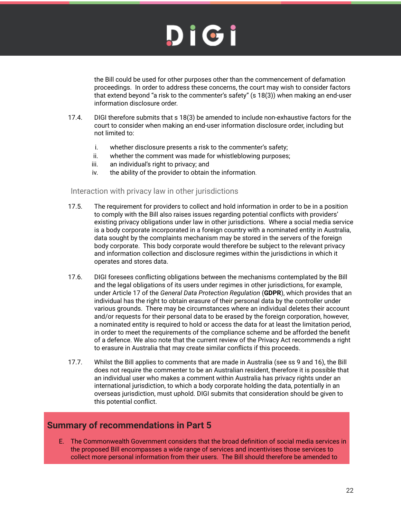the Bill could be used for other purposes other than the commencement of defamation proceedings. In order to address these concerns, the court may wish to consider factors that extend beyond "a risk to the commenter's safety" (s 18(3)) when making an end-user information disclosure order.

- 17.4. DIGI therefore submits that s 18(3) be amended to include non-exhaustive factors for the court to consider when making an end-user information disclosure order, including but not limited to:
	- i. whether disclosure presents a risk to the commenter's safety;
	- ii. whether the comment was made for whistleblowing purposes;
	- iii. an individual's right to privacy; and
	- iv. the ability of the provider to obtain the information.

#### <span id="page-21-0"></span>Interaction with privacy law in other jurisdictions

- 17.5. The requirement for providers to collect and hold information in order to be in a position to comply with the Bill also raises issues regarding potential conflicts with providers' existing privacy obligations under law in other jurisdictions. Where a social media service is a body corporate incorporated in a foreign country with a nominated entity in Australia, data sought by the complaints mechanism may be stored in the servers of the foreign body corporate. This body corporate would therefore be subject to the relevant privacy and information collection and disclosure regimes within the jurisdictions in which it operates and stores data.
- 17.6. DIGI foresees conflicting obligations between the mechanisms contemplated by the Bill and the legal obligations of its users under regimes in other jurisdictions, for example, under Article 17 of the *General Data Protection Regulation* (**GDPR**), which provides that an individual has the right to obtain erasure of their personal data by the controller under various grounds. There may be circumstances where an individual deletes their account and/or requests for their personal data to be erased by the foreign corporation, however, a nominated entity is required to hold or access the data for at least the limitation period, in order to meet the requirements of the compliance scheme and be afforded the benefit of a defence. We also note that the current review of the Privacy Act recommends a right to erasure in Australia that may create similar conflicts if this proceeds.
- 17.7. Whilst the Bill applies to comments that are made in Australia (see ss 9 and 16), the Bill does not require the commenter to be an Australian resident, therefore it is possible that an individual user who makes a comment within Australia has privacy rights under an international jurisdiction, to which a body corporate holding the data, potentially in an overseas jurisdiction, must uphold. DIGI submits that consideration should be given to this potential conflict.

### <span id="page-21-1"></span>**Summary of recommendations in Part 5**

E. The Commonwealth Government considers that the broad definition of social media services in the proposed Bill encompasses a wide range of services and incentivises those services to collect more personal information from their users. The Bill should therefore be amended to